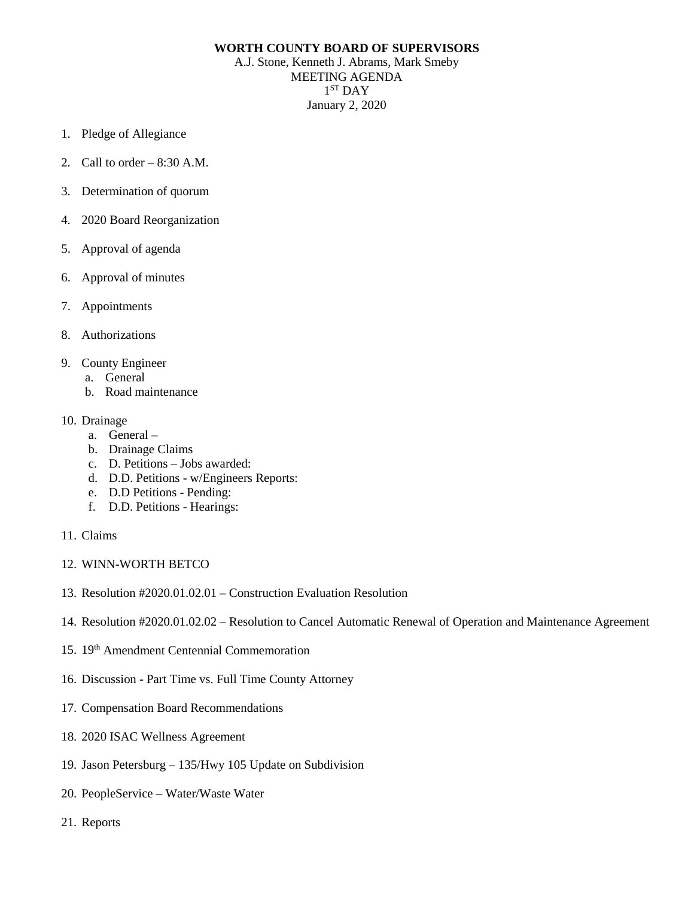## **WORTH COUNTY BOARD OF SUPERVISORS**

A.J. Stone, Kenneth J. Abrams, Mark Smeby MEETING AGENDA  $1<sup>ST</sup>$  DAY January 2, 2020

- 1. Pledge of Allegiance
- 2. Call to order 8:30 A.M.
- 3. Determination of quorum
- 4. 2020 Board Reorganization
- 5. Approval of agenda
- 6. Approval of minutes
- 7. Appointments
- 8. Authorizations
- 9. County Engineer
	- a. General
	- b. Road maintenance

## 10. Drainage

- a. General –
- b. Drainage Claims
- c. D. Petitions Jobs awarded:
- d. D.D. Petitions w/Engineers Reports:
- e. D.D Petitions Pending:
- f. D.D. Petitions Hearings:
- 11. Claims
- 12. WINN-WORTH BETCO
- 13. Resolution #2020.01.02.01 Construction Evaluation Resolution
- 14. Resolution #2020.01.02.02 Resolution to Cancel Automatic Renewal of Operation and Maintenance Agreement
- 15. 19th Amendment Centennial Commemoration
- 16. Discussion Part Time vs. Full Time County Attorney
- 17. Compensation Board Recommendations
- 18. 2020 ISAC Wellness Agreement
- 19. Jason Petersburg 135/Hwy 105 Update on Subdivision
- 20. PeopleService Water/Waste Water
- 21. Reports